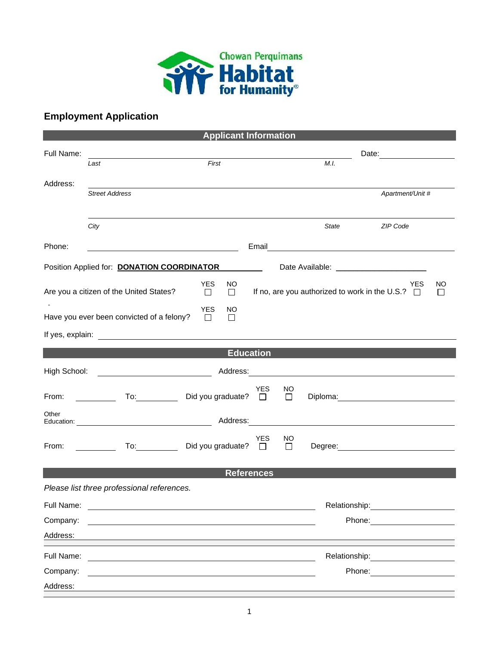

## **Employment Application**

| <b>Applicant Information</b> |                                                                                                                                                                                                                                |                                       |            |               |               |                                                                                                                                                                                                                                |    |  |  |  |  |
|------------------------------|--------------------------------------------------------------------------------------------------------------------------------------------------------------------------------------------------------------------------------|---------------------------------------|------------|---------------|---------------|--------------------------------------------------------------------------------------------------------------------------------------------------------------------------------------------------------------------------------|----|--|--|--|--|
| Full Name:                   |                                                                                                                                                                                                                                |                                       |            |               |               |                                                                                                                                                                                                                                |    |  |  |  |  |
|                              | Last                                                                                                                                                                                                                           | First                                 |            |               | M.I.          |                                                                                                                                                                                                                                |    |  |  |  |  |
| Address:                     | <b>Street Address</b>                                                                                                                                                                                                          |                                       |            |               |               | Apartment/Unit #                                                                                                                                                                                                               |    |  |  |  |  |
|                              |                                                                                                                                                                                                                                |                                       |            |               |               |                                                                                                                                                                                                                                |    |  |  |  |  |
|                              | City                                                                                                                                                                                                                           |                                       |            |               | State         | ZIP Code                                                                                                                                                                                                                       |    |  |  |  |  |
| Phone:                       |                                                                                                                                                                                                                                |                                       | Email      |               |               | <u> 1989 - Jan James James Barnett, fransk politik (d. 1989)</u>                                                                                                                                                               |    |  |  |  |  |
|                              | Position Applied for: <b>DONATION COORDINATOR</b>                                                                                                                                                                              |                                       |            |               |               | Date Available: _________________________                                                                                                                                                                                      |    |  |  |  |  |
|                              | Are you a citizen of the United States?                                                                                                                                                                                        | <b>YES</b><br>NO.<br>$\Box$<br>$\Box$ |            |               |               | YES<br>If no, are you authorized to work in the U.S.? $\Box$                                                                                                                                                                   | NO |  |  |  |  |
|                              | Have you ever been convicted of a felony?                                                                                                                                                                                      | <b>YES</b><br>NO<br>$\Box$<br>□       |            |               |               |                                                                                                                                                                                                                                |    |  |  |  |  |
|                              |                                                                                                                                                                                                                                |                                       |            |               |               |                                                                                                                                                                                                                                |    |  |  |  |  |
| <b>Education</b>             |                                                                                                                                                                                                                                |                                       |            |               |               |                                                                                                                                                                                                                                |    |  |  |  |  |
| High School:                 | <u> 1990 - John Stone, amerikansk politiker (</u>                                                                                                                                                                              |                                       |            |               |               |                                                                                                                                                                                                                                |    |  |  |  |  |
| From:                        |                                                                                                                                                                                                                                | To: Did you graduate? □               | <b>YES</b> | NO.<br>$\Box$ |               |                                                                                                                                                                                                                                |    |  |  |  |  |
| Other                        | Education: Network and Address: Address: Network and Address: Network and Address: Network and Address: Network and Address: Network and Address: Network and Address: Network and Address: Network and Address: Network and A |                                       |            |               |               |                                                                                                                                                                                                                                |    |  |  |  |  |
| From:                        |                                                                                                                                                                                                                                | To: Did you graduate? □               | <b>YES</b> | NO<br>$\Box$  |               | Degree: <u>www.community.community.community.community.community.community.com</u>                                                                                                                                             |    |  |  |  |  |
| <b>References</b>            |                                                                                                                                                                                                                                |                                       |            |               |               |                                                                                                                                                                                                                                |    |  |  |  |  |
|                              | Please list three professional references.                                                                                                                                                                                     |                                       |            |               |               |                                                                                                                                                                                                                                |    |  |  |  |  |
| Full Name:                   | <u> 1989 - John Stein, mars and de Britain and de Britain and de Britain and de Britain and de Britain and de Br</u>                                                                                                           |                                       |            |               |               | Relationship: example and the set of the set of the set of the set of the set of the set of the set of the set of the set of the set of the set of the set of the set of the set of the set of the set of the set of the set o |    |  |  |  |  |
| Company:                     |                                                                                                                                                                                                                                |                                       |            |               | Phone:        |                                                                                                                                                                                                                                |    |  |  |  |  |
| Address:                     |                                                                                                                                                                                                                                |                                       |            |               |               |                                                                                                                                                                                                                                |    |  |  |  |  |
| Full Name:                   | <u>a sa barang ang pagbabang nagang pangangang nagang pangangang nagang pang</u>                                                                                                                                               |                                       |            |               | Relationship: | the contract of the contract of the contract of                                                                                                                                                                                |    |  |  |  |  |
| Company:                     |                                                                                                                                                                                                                                |                                       |            |               | Phone:        |                                                                                                                                                                                                                                |    |  |  |  |  |
| Address:                     |                                                                                                                                                                                                                                |                                       |            |               |               |                                                                                                                                                                                                                                |    |  |  |  |  |